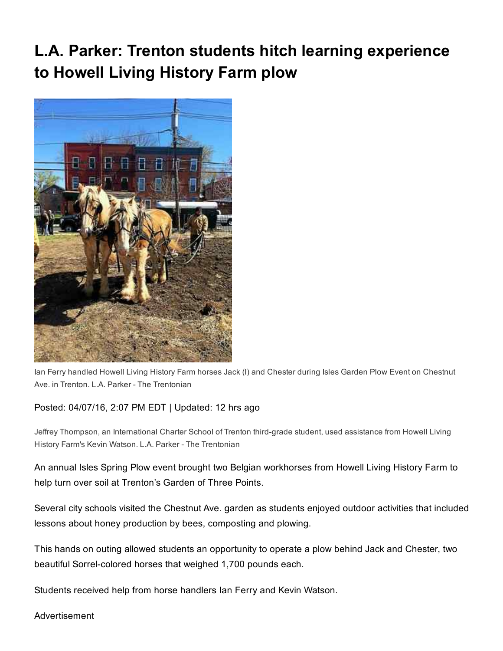## L.A. Parker: Trenton students hitch learning experience to Howell Living History Farm plow



Ian Ferry handled Howell Living History Farm horses Jack (l) and Chester during Isles Garden Plow Event on Chestnut Ave. in Trenton. L.A. Parker - The Trentonian

## Posted: 04/07/16, 2:07 PM EDT | Updated: 12 hrs ago

Jeffrey Thompson, an International Charter School of Trenton third-grade student, used assistance from Howell Living History Farm's Kevin Watson. L.A. Parker - The Trentonian

An annual Isles Spring Plow event brought two Belgian workhorses from Howell Living History Farm to help turn over soil at Trenton's Garden of Three Points.

Several city schools visited the Chestnut Ave. garden as students enjoyed outdoor activities that included lessons about honey production by bees, composting and plowing.

This hands on outing allowed students an opportunity to operate a plow behind Jack and Chester, two beautiful Sorrel-colored horses that weighed 1,700 pounds each.

Students received help from horse handlers Ian Ferry and Kevin Watson.

Advertisement